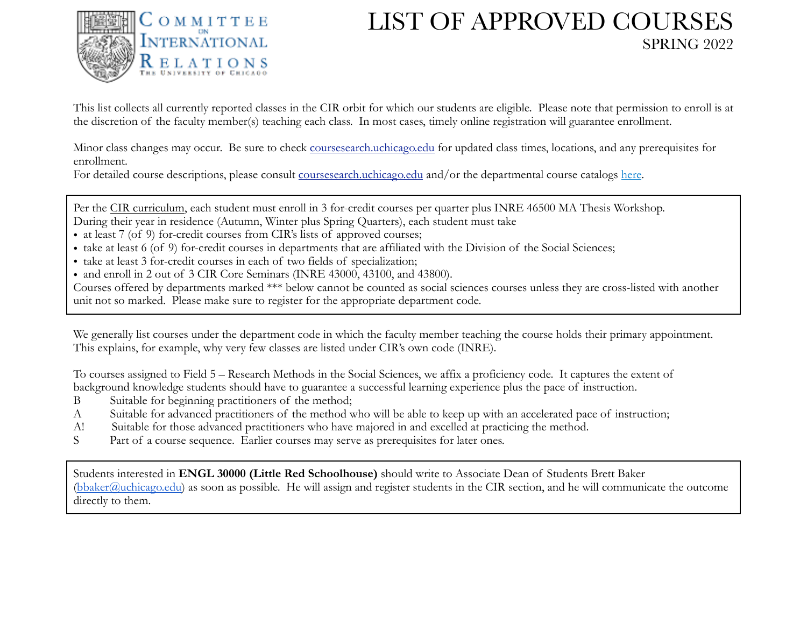

## LIST OF APPROVED COURSES SPRING 2022

This list collects all currently reported classes in the CIR orbit for which our students are eligible. Please note that permission to enroll is at the discretion of the faculty member(s) teaching each class. In most cases, timely online registration will guarantee enrollment.

Minor class changes may occur. Be sure to check [coursesearch.uchicago.edu](http://registrar.uchicago.edu/classes) for updated class times, locations, and any prerequisites for enrollment.

For detailed course descriptions, please consult [coursesearch.uchicago.edu](http://registrar.uchicago.edu/classes) and/or the departmental course catalogs [here.](http://graduateannouncements.uchicago.edu/)

Per the [CIR curriculum](https://cir.uchicago.edu/content/curriculum#Courses), each student must enroll in 3 for-credit courses per quarter plus INRE 46500 MA Thesis Workshop. During their year in residence (Autumn, Winter plus Spring Quarters), each student must take

- at least 7 (of 9) for-credit courses from CIR's lists of approved courses;
- take at least 6 (of 9) for-credit courses in departments that are affiliated with the Division of the Social Sciences;
- take at least 3 for-credit courses in each of two fields of specialization;
- and enroll in 2 out of 3 CIR Core Seminars (INRE 43000, 43100, and 43800).

Courses offered by departments marked \*\*\* below cannot be counted as social sciences courses unless they are cross-listed with another unit not so marked. Please make sure to register for the appropriate department code.

We generally list courses under the department code in which the faculty member teaching the course holds their primary appointment. This explains, for example, why very few classes are listed under CIR's own code (INRE).

To courses assigned to Field 5 – Research Methods in the Social Sciences, we affix a proficiency code. It captures the extent of background knowledge students should have to guarantee a successful learning experience plus the pace of instruction.

- B Suitable for beginning practitioners of the method;
- A Suitable for advanced practitioners of the method who will be able to keep up with an accelerated pace of instruction;
- A! Suitable for those advanced practitioners who have majored in and excelled at practicing the method.
- S Part of a course sequence. Earlier courses may serve as prerequisites for later ones.

Students interested in **ENGL 30000 (Little Red Schoolhouse)** should write to Associate Dean of Students Brett Baker  $(bbaker@uchicago.edu)$  $(bbaker@uchicago.edu)$  $(bbaker@uchicago.edu)$  as soon as possible. He will assign and register students in the CIR section, and he will communicate the outcome directly to them.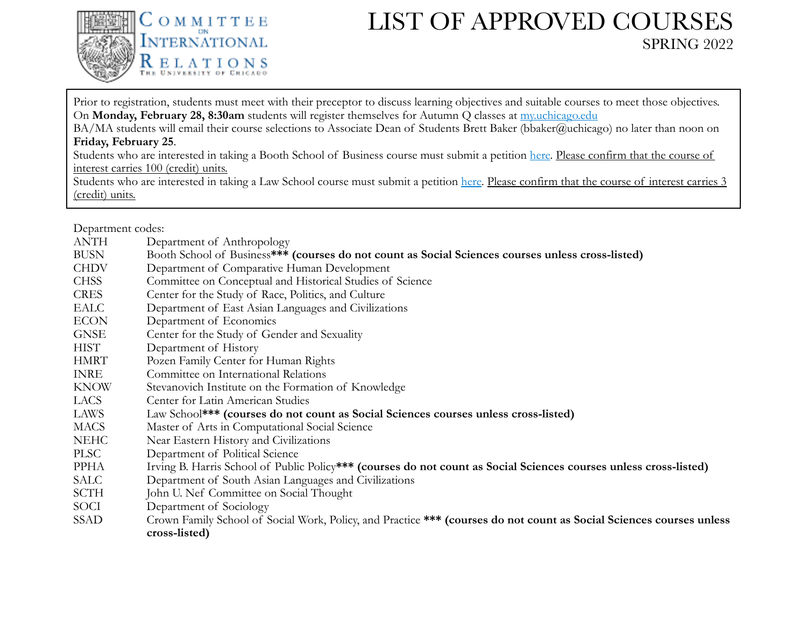

## LIST OF APPROVED COURSES SPRING 2022

Prior to registration, students must meet with their preceptor to discuss learning objectives and suitable courses to meet those objectives. On **Monday, February 28, 8:30am** students will register themselves for Autumn Q classes at [my.uchicago.edu](http://my.uchicago.edu/)

BA/MA students will email their course selections to Associate Dean of Students Brett Baker (bbaker@uchicago) no later than noon on **Friday, February 25**.

Students who are interested in taking a Booth School of Business course must submit a petition [here.](https://www.chicagobooth.edu/offerings/taking-booth-classes) Please confirm that the course of interest carries 100 (credit) units.

Students who are interested in taking a Law School course must submit a petition [here.](https://www.law.uchicago.edu/students/petitions/nonlaw) Please confirm that the course of interest carries 3 (credit) units.

Department codes:

| ANTH        | Department of Anthropology                                                                                           |
|-------------|----------------------------------------------------------------------------------------------------------------------|
| <b>BUSN</b> | Booth School of Business*** (courses do not count as Social Sciences courses unless cross-listed)                    |
| <b>CHDV</b> | Department of Comparative Human Development                                                                          |
| <b>CHSS</b> | Committee on Conceptual and Historical Studies of Science                                                            |
| <b>CRES</b> | Center for the Study of Race, Politics, and Culture                                                                  |
| EALC        | Department of East Asian Languages and Civilizations                                                                 |
| <b>ECON</b> | Department of Economics                                                                                              |
| <b>GNSE</b> | Center for the Study of Gender and Sexuality                                                                         |
| <b>HIST</b> | Department of History                                                                                                |
| HMRT        | Pozen Family Center for Human Rights                                                                                 |
| <b>INRE</b> | Committee on International Relations                                                                                 |
| <b>KNOW</b> | Stevanovich Institute on the Formation of Knowledge                                                                  |
| LACS        | Center for Latin American Studies                                                                                    |
| LAWS        | Law School*** (courses do not count as Social Sciences courses unless cross-listed)                                  |
| <b>MACS</b> | Master of Arts in Computational Social Science                                                                       |
| <b>NEHC</b> | Near Eastern History and Civilizations                                                                               |
| <b>PLSC</b> | Department of Political Science                                                                                      |
| PPHA        | Irving B. Harris School of Public Policy*** (courses do not count as Social Sciences courses unless cross-listed)    |
| SALC        | Department of South Asian Languages and Civilizations                                                                |
| <b>SCTH</b> | John U. Nef Committee on Social Thought                                                                              |
| <b>SOCI</b> | Department of Sociology                                                                                              |
| <b>SSAD</b> | Crown Family School of Social Work, Policy, and Practice *** (courses do not count as Social Sciences courses unless |
|             | cross-listed)                                                                                                        |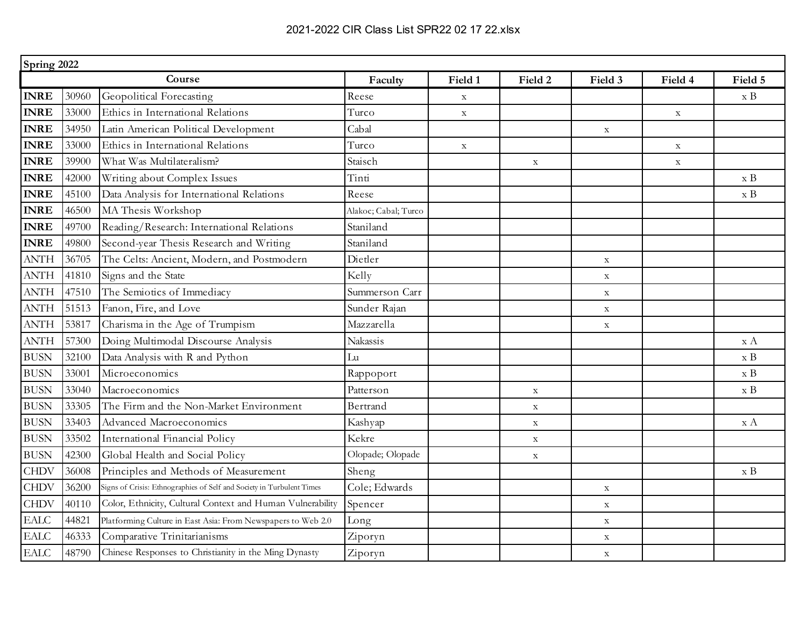|                            | Spring 2022 |                                                                       |                      |             |             |             |             |                    |  |
|----------------------------|-------------|-----------------------------------------------------------------------|----------------------|-------------|-------------|-------------|-------------|--------------------|--|
|                            |             | Course                                                                | Faculty              | Field 1     | Field 2     | Field 3     | Field 4     | Field 5            |  |
| <b>INRE</b>                | 30960       | Geopolitical Forecasting                                              | Reese                | $\mathbf X$ |             |             |             | $\boldsymbol{x}$ B |  |
| <b>INRE</b>                | 33000       | Ethics in International Relations                                     | Turco                | $\mathbf X$ |             |             | $\mathbf X$ |                    |  |
| <b>INRE</b>                | 34950       | Latin American Political Development                                  | Cabal                |             |             | $\mathbf X$ |             |                    |  |
| <b>INRE</b>                | 33000       | Ethics in International Relations                                     | Turco                | $\mathbf X$ |             |             | $\mathbf X$ |                    |  |
| <b>INRE</b>                | 39900       | What Was Multilateralism?                                             | Staisch              |             | $\mathbf X$ |             | $\mathbf X$ |                    |  |
| <b>INRE</b>                | 42000       | Writing about Complex Issues                                          | Tinti                |             |             |             |             | $\boldsymbol{x}$ B |  |
| <b>INRE</b>                | 45100       | Data Analysis for International Relations                             | Reese                |             |             |             |             | $\ge B$            |  |
| <b>INRE</b>                | 46500       | MA Thesis Workshop                                                    | Alakoc; Cabal; Turco |             |             |             |             |                    |  |
| <b>INRE</b>                | 49700       | Reading/Research: International Relations                             | Staniland            |             |             |             |             |                    |  |
| <b>INRE</b>                | 49800       | Second-year Thesis Research and Writing                               | Staniland            |             |             |             |             |                    |  |
| <b>ANTH</b>                | 36705       | The Celts: Ancient, Modern, and Postmodern                            | Dietler              |             |             | $\mathbf X$ |             |                    |  |
| <b>ANTH</b>                | 41810       | Signs and the State                                                   | Kelly                |             |             | $\mathbf X$ |             |                    |  |
| <b>ANTH</b>                | 47510       | The Semiotics of Immediacy                                            | Summerson Carr       |             |             | $\mathbf X$ |             |                    |  |
| <b>ANTH</b>                | 51513       | Fanon, Fire, and Love                                                 | Sunder Rajan         |             |             | $\mathbf X$ |             |                    |  |
| <b>ANTH</b>                | 53817       | Charisma in the Age of Trumpism                                       | Mazzarella           |             |             | $\mathbf X$ |             |                    |  |
| <b>ANTH</b>                | 57300       | Doing Multimodal Discourse Analysis                                   | Nakassis             |             |             |             |             | x A                |  |
| <b>BUSN</b>                | 32100       | Data Analysis with R and Python                                       | Lu                   |             |             |             |             | $\boldsymbol{x}$ B |  |
| <b>BUSN</b>                | 33001       | Microeconomics                                                        | Rappoport            |             |             |             |             | $\ge B$            |  |
| <b>BUSN</b>                | 33040       | Macroeconomics                                                        | Patterson            |             | $\mathbf X$ |             |             | $\ge B$            |  |
| <b>BUSN</b>                | 33305       | The Firm and the Non-Market Environment                               | Bertrand             |             | $\mathbf X$ |             |             |                    |  |
| <b>BUSN</b>                | 33403       | Advanced Macroeconomics                                               | Kashyap              |             | $\mathbf X$ |             |             | x A                |  |
| <b>BUSN</b>                | 33502       | International Financial Policy                                        | Kekre                |             | $\mathbf X$ |             |             |                    |  |
| <b>BUSN</b>                | 42300       | Global Health and Social Policy                                       | Olopade; Olopade     |             | $\mathbf X$ |             |             |                    |  |
| <b>CHDV</b>                | 36008       | Principles and Methods of Measurement                                 | Sheng                |             |             |             |             | $\boldsymbol{x}$ B |  |
| <b>CHDV</b>                | 36200       | Signs of Crisis: Ethnographies of Self and Society in Turbulent Times | Cole; Edwards        |             |             | $\mathbf X$ |             |                    |  |
| <b>CHDV</b>                | 40110       | Color, Ethnicity, Cultural Context and Human Vulnerability            | Spencer              |             |             | $\mathbf X$ |             |                    |  |
| $\ensuremath{\text{EALC}}$ | 44821       | Platforming Culture in East Asia: From Newspapers to Web 2.0          | Long                 |             |             | $\mathbf X$ |             |                    |  |
| <b>EALC</b>                | 46333       | Comparative Trinitarianisms                                           | Ziporyn              |             |             | $\mathbf X$ |             |                    |  |
| <b>EALC</b>                | 48790       | Chinese Responses to Christianity in the Ming Dynasty                 | Ziporyn              |             |             | $\mathbf X$ |             |                    |  |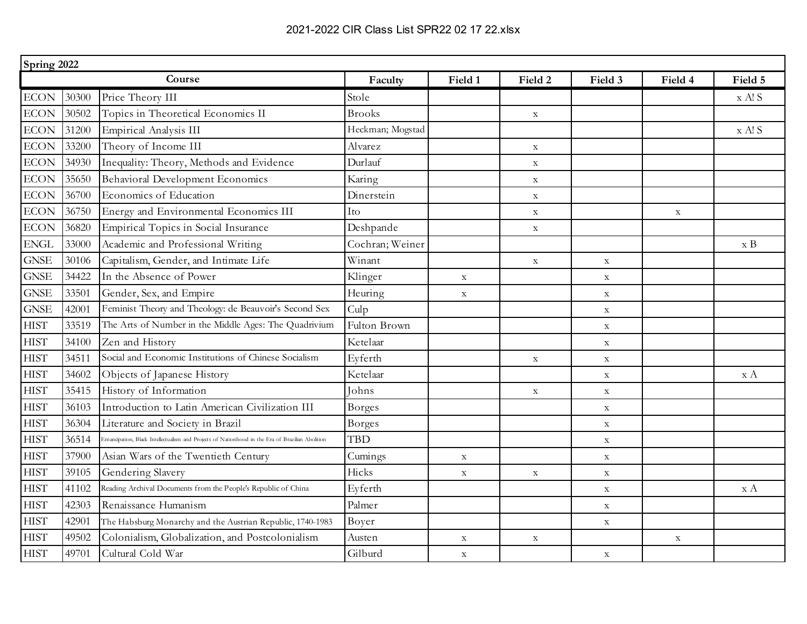| Spring 2022 |       |                                                                                                  |                  |             |             |             |             |         |
|-------------|-------|--------------------------------------------------------------------------------------------------|------------------|-------------|-------------|-------------|-------------|---------|
|             |       | Course                                                                                           | Faculty          | Field 1     | Field 2     | Field 3     | Field 4     | Field 5 |
| <b>ECON</b> | 30300 | Price Theory III                                                                                 | Stole            |             |             |             |             | x A! S  |
| <b>ECON</b> | 30502 | Topics in Theoretical Economics II                                                               | <b>Brooks</b>    |             | $\mathbf X$ |             |             |         |
| <b>ECON</b> | 31200 | Empirical Analysis III                                                                           | Heckman; Mogstad |             |             |             |             | x A! S  |
| <b>ECON</b> | 33200 | Theory of Income III                                                                             | Alvarez          |             | $\mathbf X$ |             |             |         |
| $\rm ECON$  | 34930 | Inequality: Theory, Methods and Evidence                                                         | Durlauf          |             | $\mathbf X$ |             |             |         |
| $ECON$      | 35650 | Behavioral Development Economics                                                                 | Karing           |             | $\mathbf X$ |             |             |         |
| <b>ECON</b> | 36700 | Economics of Education                                                                           | Dinerstein       |             | $\mathbf X$ |             |             |         |
| <b>ECON</b> | 36750 | Energy and Environmental Economics III                                                           | Ito              |             | $\mathbf X$ |             | $\mathbf X$ |         |
| <b>ECON</b> | 36820 | Empirical Topics in Social Insurance                                                             | Deshpande        |             | $\mathbf X$ |             |             |         |
| <b>ENGL</b> | 33000 | Academic and Professional Writing                                                                | Cochran; Weiner  |             |             |             |             | $\ge B$ |
| <b>GNSE</b> | 30106 | Capitalism, Gender, and Intimate Life                                                            | Winant           |             | $\mathbf X$ | $\mathbf X$ |             |         |
| <b>GNSE</b> | 34422 | In the Absence of Power                                                                          | Klinger          | $\mathbf X$ |             | $\mathbf X$ |             |         |
| <b>GNSE</b> | 33501 | Gender, Sex, and Empire                                                                          | Heuring          | $\mathbf X$ |             | $\mathbf X$ |             |         |
| <b>GNSE</b> | 42001 | Feminist Theory and Theology: de Beauvoir's Second Sex                                           | Culp             |             |             | $\mathbf X$ |             |         |
| <b>HIST</b> | 33519 | The Arts of Number in the Middle Ages: The Quadrivium                                            | Fulton Brown     |             |             | $\mathbf X$ |             |         |
| <b>HIST</b> | 34100 | Zen and History                                                                                  | Ketelaar         |             |             | $\mathbf X$ |             |         |
| <b>HIST</b> | 34511 | Social and Economic Institutions of Chinese Socialism                                            | Eyferth          |             | $\mathbf X$ | $\mathbf X$ |             |         |
| <b>HIST</b> | 34602 | Objects of Japanese History                                                                      | Ketelaar         |             |             | $\mathbf X$ |             | x A     |
| <b>HIST</b> | 35415 | History of Information                                                                           | Johns            |             | $\mathbf X$ | $\mathbf X$ |             |         |
| <b>HIST</b> | 36103 | Introduction to Latin American Civilization III                                                  | <b>Borges</b>    |             |             | $\mathbf X$ |             |         |
| <b>HIST</b> | 36304 | Literature and Society in Brazil                                                                 | Borges           |             |             | $\mathbf X$ |             |         |
| <b>HIST</b> | 36514 | Emancipation, Black Intellectualism and Projects of Nationhood in the Era of Brazilian Abolition | <b>TBD</b>       |             |             | $\mathbf X$ |             |         |
| <b>HIST</b> | 37900 | Asian Wars of the Twentieth Century                                                              | Cumings          | $\mathbf X$ |             | $\mathbf X$ |             |         |
| <b>HIST</b> | 39105 | Gendering Slavery                                                                                | Hicks            | $\mathbf X$ | $\mathbf X$ | $\mathbf X$ |             |         |
| <b>HIST</b> | 41102 | Reading Archival Documents from the People's Republic of China                                   | Eyferth          |             |             | $\mathbf X$ |             | x A     |
| <b>HIST</b> | 42303 | Renaissance Humanism                                                                             | Palmer           |             |             | $\mathbf X$ |             |         |
| <b>HIST</b> | 42901 | The Habsburg Monarchy and the Austrian Republic, 1740-1983                                       | Boyer            |             |             | $\mathbf X$ |             |         |
| <b>HIST</b> | 49502 | Colonialism, Globalization, and Postcolonialism                                                  | Austen           | $\mathbf X$ | $\mathbf X$ |             | $\mathbf X$ |         |
| <b>HIST</b> | 49701 | Cultural Cold War                                                                                | Gilburd          | $\mathbf X$ |             | $\mathbf X$ |             |         |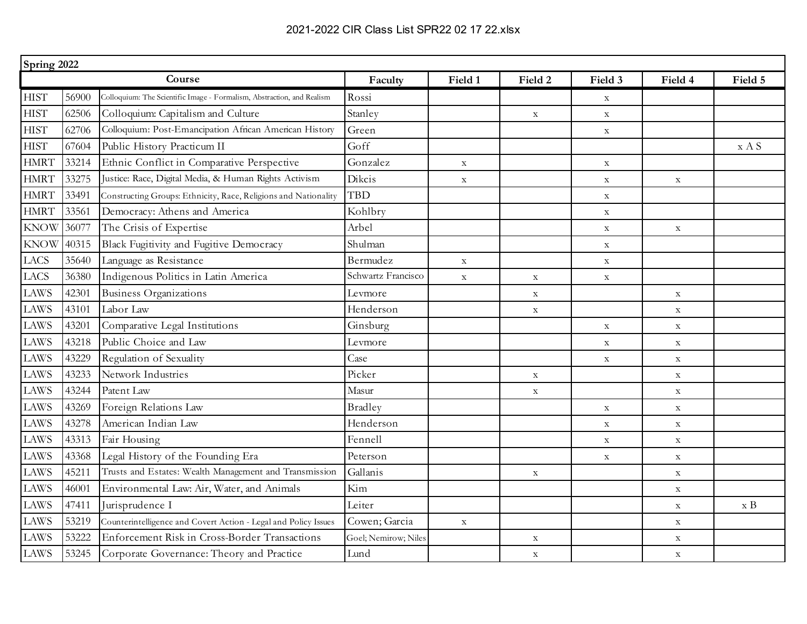|             | Spring 2022 |                                                                        |                      |             |             |             |             |                    |  |
|-------------|-------------|------------------------------------------------------------------------|----------------------|-------------|-------------|-------------|-------------|--------------------|--|
|             |             | Course                                                                 | Faculty              | Field 1     | Field 2     | Field 3     | Field 4     | Field 5            |  |
| <b>HIST</b> | 56900       | Colloquium: The Scientific Image - Formalism, Abstraction, and Realism | Rossi                |             |             | $\mathbf X$ |             |                    |  |
| <b>HIST</b> | 62506       | Colloquium: Capitalism and Culture                                     | Stanley              |             | $\mathbf X$ | $\mathbf X$ |             |                    |  |
| <b>HIST</b> | 62706       | Colloquium: Post-Emancipation African American History                 | Green                |             |             | $\mathbf X$ |             |                    |  |
| <b>HIST</b> | 67604       | Public History Practicum II                                            | Goff                 |             |             |             |             | x A S              |  |
| <b>HMRT</b> | 33214       | Ethnic Conflict in Comparative Perspective                             | Gonzalez             | $\mathbf X$ |             | $\mathbf X$ |             |                    |  |
| <b>HMRT</b> | 33275       | Justice: Race, Digital Media, & Human Rights Activism                  | Dikcis               | $\mathbf X$ |             | $\mathbf X$ | $\mathbf X$ |                    |  |
| <b>HMRT</b> | 33491       | Constructing Groups: Ethnicity, Race, Religions and Nationality        | <b>TBD</b>           |             |             | $\mathbf X$ |             |                    |  |
| <b>HMRT</b> | 33561       | Democracy: Athens and America                                          | Kohlbry              |             |             | $\mathbf X$ |             |                    |  |
| <b>KNOW</b> | 36077       | The Crisis of Expertise                                                | Arbel                |             |             | $\mathbf X$ | $\mathbf X$ |                    |  |
| <b>KNOW</b> | 40315       | Black Fugitivity and Fugitive Democracy                                | Shulman              |             |             | $\mathbf X$ |             |                    |  |
| <b>LACS</b> | 35640       | Language as Resistance                                                 | Bermudez             | $\mathbf X$ |             | $\mathbf X$ |             |                    |  |
| <b>LACS</b> | 36380       | Indigenous Politics in Latin America                                   | Schwartz Francisco   | $\mathbf X$ | $\mathbf X$ | $\mathbf X$ |             |                    |  |
| <b>LAWS</b> | 42301       | <b>Business Organizations</b>                                          | Levmore              |             | $\mathbf X$ |             | $\mathbf X$ |                    |  |
| <b>LAWS</b> | 43101       | Labor Law                                                              | Henderson            |             | $\mathbf X$ |             | $\mathbf X$ |                    |  |
| <b>LAWS</b> | 43201       | Comparative Legal Institutions                                         | Ginsburg             |             |             | $\mathbf X$ | $\mathbf X$ |                    |  |
| <b>LAWS</b> | 43218       | Public Choice and Law                                                  | Levmore              |             |             | $\mathbf X$ | $\mathbf X$ |                    |  |
| <b>LAWS</b> | 43229       | Regulation of Sexuality                                                | Case                 |             |             | $\mathbf X$ | $\mathbf X$ |                    |  |
| <b>LAWS</b> | 43233       | Network Industries                                                     | Picker               |             | $\mathbf X$ |             | $\mathbf X$ |                    |  |
| <b>LAWS</b> | 43244       | Patent Law                                                             | Masur                |             | $\mathbf X$ |             | $\mathbf X$ |                    |  |
| <b>LAWS</b> | 43269       | Foreign Relations Law                                                  | <b>Bradley</b>       |             |             | $\mathbf X$ | $\mathbf X$ |                    |  |
| <b>LAWS</b> | 43278       | American Indian Law                                                    | Henderson            |             |             | $\mathbf X$ | $\mathbf X$ |                    |  |
| <b>LAWS</b> | 43313       | Fair Housing                                                           | Fennell              |             |             | $\mathbf X$ | $\mathbf X$ |                    |  |
| <b>LAWS</b> | 43368       | Legal History of the Founding Era                                      | Peterson             |             |             | $\mathbf X$ | $\mathbf X$ |                    |  |
| <b>LAWS</b> | 45211       | Trusts and Estates: Wealth Management and Transmission                 | Gallanis             |             | $\mathbf X$ |             | $\mathbf X$ |                    |  |
| <b>LAWS</b> | 46001       | Environmental Law: Air, Water, and Animals                             | Kim                  |             |             |             | $\mathbf X$ |                    |  |
| <b>LAWS</b> | 47411       | Jurisprudence I                                                        | Leiter               |             |             |             | $\mathbf X$ | $\boldsymbol{x}$ B |  |
| <b>LAWS</b> | 53219       | Counterintelligence and Covert Action - Legal and Policy Issues        | Cowen; Garcia        | $\mathbf X$ |             |             | $\mathbf X$ |                    |  |
| <b>LAWS</b> | 53222       | Enforcement Risk in Cross-Border Transactions                          | Goel; Nemirow; Niles |             | $\mathbf X$ |             | $\mathbf X$ |                    |  |
| <b>LAWS</b> | 53245       | Corporate Governance: Theory and Practice                              | Lund                 |             | $\mathbf X$ |             | $\mathbf X$ |                    |  |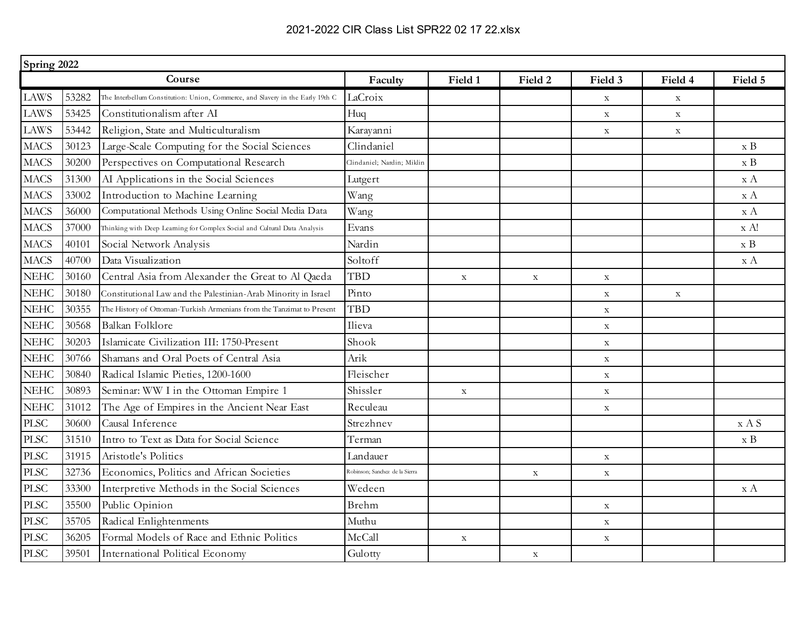|                              | Spring 2022 |                                                                                |                                |             |             |             |             |                         |  |
|------------------------------|-------------|--------------------------------------------------------------------------------|--------------------------------|-------------|-------------|-------------|-------------|-------------------------|--|
|                              |             | Course                                                                         | Faculty                        | Field 1     | Field 2     | Field 3     | Field 4     | Field 5                 |  |
| <b>LAWS</b>                  | 53282       | The Interbellum Constitution: Union, Commerce, and Slavery in the Early 19th C | LaCroix                        |             |             | $\mathbf X$ | $\mathbf X$ |                         |  |
| <b>LAWS</b>                  | 53425       | Constitutionalism after AI                                                     | H <sub>uq</sub>                |             |             | $\mathbf X$ | $\mathbf X$ |                         |  |
| <b>LAWS</b>                  | 53442       | Religion, State and Multiculturalism                                           | Karayanni                      |             |             | $\mathbf X$ | $\mathbf X$ |                         |  |
| <b>MACS</b>                  | 30123       | Large-Scale Computing for the Social Sciences                                  | Clindaniel                     |             |             |             |             | $\boldsymbol{x}$ B      |  |
| <b>MACS</b>                  | 30200       | Perspectives on Computational Research                                         | Jindaniel; Nardin; Miklin      |             |             |             |             | $\boldsymbol{x}$ B      |  |
| <b>MACS</b>                  | 31300       | AI Applications in the Social Sciences                                         | Lutgert                        |             |             |             |             | x A                     |  |
| <b>MACS</b>                  | 33002       | Introduction to Machine Learning                                               | Wang                           |             |             |             |             | x A                     |  |
| <b>MACS</b>                  | 36000       | Computational Methods Using Online Social Media Data                           | Wang                           |             |             |             |             | x A                     |  |
| <b>MACS</b>                  | 37000       | Thinking with Deep Learning for Complex Social and Cultural Data Analysis      | Evans                          |             |             |             |             | x A!                    |  |
| <b>MACS</b>                  | 40101       | Social Network Analysis                                                        | Nardin                         |             |             |             |             | $\boldsymbol{x}$ B      |  |
| <b>MACS</b>                  | 40700       | Data Visualization                                                             | Soltoff                        |             |             |             |             | x A                     |  |
| <b>NEHC</b>                  | 30160       | Central Asia from Alexander the Great to Al Qaeda                              | <b>TBD</b>                     | $\mathbf X$ | $\mathbf X$ | $\mathbf X$ |             |                         |  |
| <b>NEHC</b>                  | 30180       | Constitutional Law and the Palestinian-Arab Minority in Israel                 | Pinto                          |             |             | $\mathbf X$ | $\mathbf X$ |                         |  |
| <b>NEHC</b>                  | 30355       | The History of Ottoman-Turkish Armenians from the Tanzimat to Present          | <b>TBD</b>                     |             |             | $\mathbf X$ |             |                         |  |
| <b>NEHC</b>                  | 30568       | Balkan Folklore                                                                | Ilieva                         |             |             | $\mathbf X$ |             |                         |  |
| <b>NEHC</b>                  | 30203       | Islamicate Civilization III: 1750-Present                                      | Shook                          |             |             | $\mathbf X$ |             |                         |  |
| <b>NEHC</b>                  | 30766       | Shamans and Oral Poets of Central Asia                                         | Arik                           |             |             | $\mathbf X$ |             |                         |  |
| <b>NEHC</b>                  | 30840       | Radical Islamic Pieties, 1200-1600                                             | Fleischer                      |             |             | $\mathbf X$ |             |                         |  |
| <b>NEHC</b>                  | 30893       | Seminar: WW I in the Ottoman Empire 1                                          | Shissler                       | $\mathbf X$ |             | $\mathbf X$ |             |                         |  |
| <b>NEHC</b>                  | 31012       | The Age of Empires in the Ancient Near East                                    | Reculeau                       |             |             | $\mathbf X$ |             |                         |  |
| <b>PLSC</b>                  | 30600       | Causal Inference                                                               | Strezhnev                      |             |             |             |             | x A S                   |  |
| <b>PLSC</b>                  | 31510       | Intro to Text as Data for Social Science                                       | Terman                         |             |             |             |             | $\boldsymbol{x}$ B      |  |
| <b>PLSC</b>                  | 31915       | Aristotle's Politics                                                           | Landauer                       |             |             | $\mathbf X$ |             |                         |  |
| <b>PLSC</b>                  | 32736       | Economics, Politics and African Societies                                      | Robinson; Sanchez de la Sierra |             | $\mathbf X$ | $\mathbf X$ |             |                         |  |
| <b>PLSC</b>                  | 33300       | Interpretive Methods in the Social Sciences                                    | Wedeen                         |             |             |             |             | $\mathbf{x} \mathbf{A}$ |  |
| <b>PLSC</b>                  | 35500       | Public Opinion                                                                 | Brehm                          |             |             | $\mathbf X$ |             |                         |  |
| <b>PLSC</b>                  | 35705       | Radical Enlightenments                                                         | Muthu                          |             |             | $\mathbf X$ |             |                         |  |
| $\ensuremath{\mathsf{PLSC}}$ | 36205       | Formal Models of Race and Ethnic Politics                                      | McCall                         | $\mathbf X$ |             | $\mathbf X$ |             |                         |  |
| <b>PLSC</b>                  | 39501       | International Political Economy                                                | Gulotty                        |             | $\mathbf X$ |             |             |                         |  |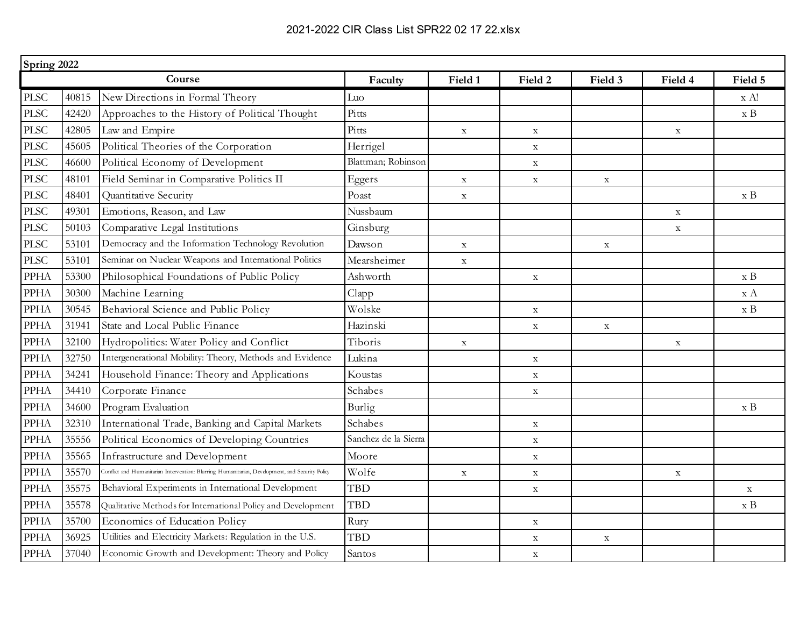| Spring 2022 |       |                                                                                                      |                      |             |             |             |             |                    |
|-------------|-------|------------------------------------------------------------------------------------------------------|----------------------|-------------|-------------|-------------|-------------|--------------------|
|             |       | Course                                                                                               | Faculty              | Field 1     | Field 2     | Field 3     | Field 4     | Field 5            |
| <b>PLSC</b> | 40815 | New Directions in Formal Theory                                                                      | Luo                  |             |             |             |             | x A!               |
| <b>PLSC</b> | 42420 | Approaches to the History of Political Thought                                                       | Pitts                |             |             |             |             | $\boldsymbol{x}$ B |
| <b>PLSC</b> | 42805 | Law and Empire                                                                                       | Pitts                | $\mathbf X$ | $\mathbf X$ |             | $\mathbf X$ |                    |
| <b>PLSC</b> | 45605 | Political Theories of the Corporation                                                                | Herrigel             |             | $\mathbf X$ |             |             |                    |
| <b>PLSC</b> | 46600 | Political Economy of Development                                                                     | Blattman; Robinson   |             | $\mathbf X$ |             |             |                    |
| <b>PLSC</b> | 48101 | Field Seminar in Comparative Politics II                                                             | Eggers               | $\mathbf X$ | $\mathbf X$ | $\mathbf X$ |             |                    |
| <b>PLSC</b> | 48401 | Quantitative Security                                                                                | Poast                | $\mathbf X$ |             |             |             | x B                |
| <b>PLSC</b> | 49301 | Emotions, Reason, and Law                                                                            | Nussbaum             |             |             |             | $\mathbf X$ |                    |
| <b>PLSC</b> | 50103 | Comparative Legal Institutions                                                                       | Ginsburg             |             |             |             | $\mathbf X$ |                    |
| <b>PLSC</b> | 53101 | Democracy and the Information Technology Revolution                                                  | Dawson               | $\mathbf X$ |             | $\mathbf X$ |             |                    |
| <b>PLSC</b> | 53101 | Seminar on Nuclear Weapons and International Politics                                                | Mearsheimer          | $\mathbf X$ |             |             |             |                    |
| <b>PPHA</b> | 53300 | Philosophical Foundations of Public Policy                                                           | Ashworth             |             | $\mathbf X$ |             |             | x B                |
| <b>PPHA</b> | 30300 | Machine Learning                                                                                     | Clapp                |             |             |             |             | $x \land$          |
| <b>PPHA</b> | 30545 | Behavioral Science and Public Policy                                                                 | Wolske               |             | $\mathbf X$ |             |             | $\boldsymbol{x}$ B |
| <b>PPHA</b> | 31941 | State and Local Public Finance                                                                       | Hazinski             |             | $\mathbf X$ | $\mathbf X$ |             |                    |
| <b>PPHA</b> | 32100 | Hydropolitics: Water Policy and Conflict                                                             | Tiboris              | $\mathbf X$ |             |             | $\mathbf X$ |                    |
| <b>PPHA</b> | 32750 | Intergenerational Mobility: Theory, Methods and Evidence                                             | Lukina               |             | $\mathbf X$ |             |             |                    |
| <b>PPHA</b> | 34241 | Household Finance: Theory and Applications                                                           | Koustas              |             | $\mathbf X$ |             |             |                    |
| <b>PPHA</b> | 34410 | Corporate Finance                                                                                    | Schabes              |             | $\mathbf X$ |             |             |                    |
| <b>PPHA</b> | 34600 | Program Evaluation                                                                                   | Burlig               |             |             |             |             | x B                |
| <b>PPHA</b> | 32310 | International Trade, Banking and Capital Markets                                                     | Schabes              |             | $\mathbf X$ |             |             |                    |
| <b>PPHA</b> | 35556 | Political Economics of Developing Countries                                                          | Sanchez de la Sierra |             | $\mathbf X$ |             |             |                    |
| <b>PPHA</b> | 35565 | Infrastructure and Development                                                                       | Moore                |             | $\mathbf X$ |             |             |                    |
| <b>PPHA</b> | 35570 | .<br>Conflict and Humanitarian Intervention: Blurring Humanitarian, Development, and Security Policy | Wolfe                | $\mathbf X$ | $\mathbf X$ |             | $\mathbf X$ |                    |
| <b>PPHA</b> | 35575 | Behavioral Experiments in International Development                                                  | <b>TBD</b>           |             | $\mathbf X$ |             |             | $\mathbf X$        |
| <b>PPHA</b> | 35578 | Qualitative Methods for International Policy and Development                                         | <b>TBD</b>           |             |             |             |             | $\boldsymbol{x}$ B |
| <b>PPHA</b> | 35700 | Economics of Education Policy                                                                        | Rury                 |             | $\mathbf X$ |             |             |                    |
| <b>PPHA</b> | 36925 | Utilities and Electricity Markets: Regulation in the U.S.                                            | <b>TBD</b>           |             | $\mathbf X$ | $\mathbf X$ |             |                    |
| <b>PPHA</b> | 37040 | Economic Growth and Development: Theory and Policy                                                   | Santos               |             | $\mathbf X$ |             |             |                    |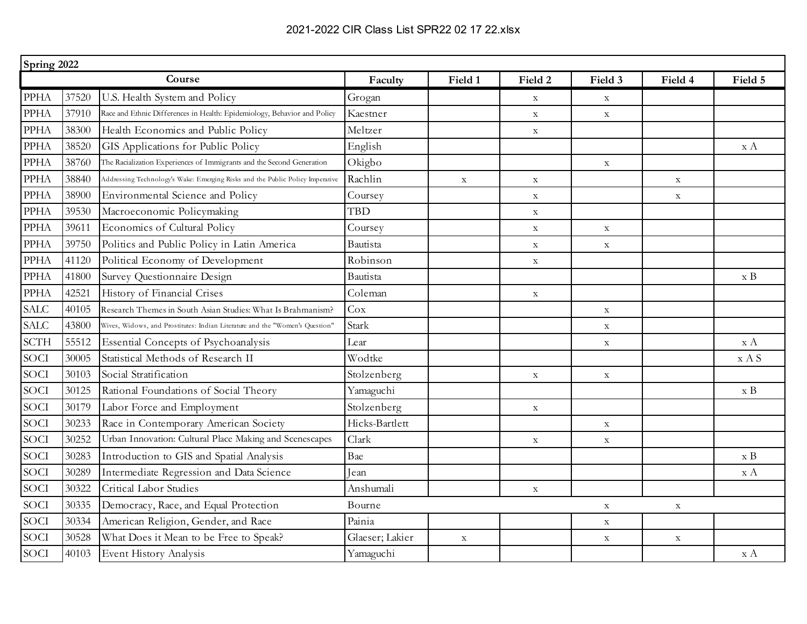|             | Spring 2022 |                                                                               |                 |             |             |             |             |                    |  |
|-------------|-------------|-------------------------------------------------------------------------------|-----------------|-------------|-------------|-------------|-------------|--------------------|--|
|             |             | Course                                                                        | Faculty         | Field 1     | Field 2     | Field 3     | Field 4     | Field 5            |  |
| <b>PPHA</b> | 37520       | U.S. Health System and Policy                                                 | Grogan          |             | $\mathbf X$ | $\mathbf X$ |             |                    |  |
| <b>PPHA</b> | 37910       | Race and Ethnic Differences in Health: Epidemiology, Behavior and Policy      | Kaestner        |             | $\mathbf X$ | $\mathbf X$ |             |                    |  |
| <b>PPHA</b> | 38300       | Health Economics and Public Policy                                            | Meltzer         |             | $\mathbf X$ |             |             |                    |  |
| <b>PPHA</b> | 38520       | GIS Applications for Public Policy                                            | English         |             |             |             |             | x A                |  |
| <b>PPHA</b> | 38760       | The Racialization Experiences of Immigrants and the Second Generation         | Okigbo          |             |             | $\mathbf X$ |             |                    |  |
| <b>PPHA</b> | 38840       | Addressing Technology's Wake: Emerging Risks and the Public Policy Imperative | Rachlin         | $\mathbf X$ | $\mathbf X$ |             | $\mathbf X$ |                    |  |
| <b>PPHA</b> | 38900       | Environmental Science and Policy                                              | Coursey         |             | $\mathbf X$ |             | $\mathbf X$ |                    |  |
| <b>PPHA</b> | 39530       | Macroeconomic Policymaking                                                    | TBD             |             | $\mathbf X$ |             |             |                    |  |
| <b>PPHA</b> | 39611       | Economics of Cultural Policy                                                  | Coursey         |             | $\mathbf X$ | $\mathbf X$ |             |                    |  |
| <b>PPHA</b> | 39750       | Politics and Public Policy in Latin America                                   | Bautista        |             | $\mathbf X$ | $\mathbf X$ |             |                    |  |
| <b>PPHA</b> | 41120       | Political Economy of Development                                              | Robinson        |             | $\mathbf X$ |             |             |                    |  |
| <b>PPHA</b> | 41800       | Survey Questionnaire Design                                                   | Bautista        |             |             |             |             | $\boldsymbol{x}$ B |  |
| <b>PPHA</b> | 42521       | History of Financial Crises                                                   | Coleman         |             | $\mathbf X$ |             |             |                    |  |
| <b>SALC</b> | 40105       | Research Themes in South Asian Studies: What Is Brahmanism?                   | Cox             |             |             | $\mathbf X$ |             |                    |  |
| <b>SALC</b> | 43800       | Wives, Widows, and Prostitutes: Indian Literature and the "Women's Question"  | Stark           |             |             | $\mathbf X$ |             |                    |  |
| <b>SCTH</b> | 55512       | Essential Concepts of Psychoanalysis                                          | Lear            |             |             | $\mathbf X$ |             | x A                |  |
| <b>SOCI</b> | 30005       | Statistical Methods of Research II                                            | Wodtke          |             |             |             |             | x A S              |  |
| <b>SOCI</b> | 30103       | Social Stratification                                                         | Stolzenberg     |             | $\mathbf X$ | $\mathbf X$ |             |                    |  |
| <b>SOCI</b> | 30125       | Rational Foundations of Social Theory                                         | Yamaguchi       |             |             |             |             | $\boldsymbol{x}$ B |  |
| <b>SOCI</b> | 30179       | Labor Force and Employment                                                    | Stolzenberg     |             | $\mathbf X$ |             |             |                    |  |
| <b>SOCI</b> | 30233       | Race in Contemporary American Society                                         | Hicks-Bartlett  |             |             | $\mathbf X$ |             |                    |  |
| <b>SOCI</b> | 30252       | Urban Innovation: Cultural Place Making and Scenescapes                       | Clark           |             | $\mathbf X$ | $\mathbf X$ |             |                    |  |
| <b>SOCI</b> | 30283       | Introduction to GIS and Spatial Analysis                                      | Bae             |             |             |             |             | $\boldsymbol{x}$ B |  |
| <b>SOCI</b> | 30289       | Intermediate Regression and Data Science                                      | Iean            |             |             |             |             | x A                |  |
| <b>SOCI</b> | 30322       | Critical Labor Studies                                                        | Anshumali       |             | $\mathbf X$ |             |             |                    |  |
| <b>SOCI</b> | 30335       | Democracy, Race, and Equal Protection                                         | Bourne          |             |             | $\mathbf X$ | $\mathbf X$ |                    |  |
| <b>SOCI</b> | 30334       | American Religion, Gender, and Race                                           | Painia          |             |             | $\mathbf X$ |             |                    |  |
| <b>SOCI</b> | 30528       | What Does it Mean to be Free to Speak?                                        | Glaeser; Lakier | $\mathbf X$ |             | $\mathbf X$ | $\mathbf X$ |                    |  |
| <b>SOCI</b> | 40103       | Event History Analysis                                                        | Yamaguchi       |             |             |             |             | x A                |  |